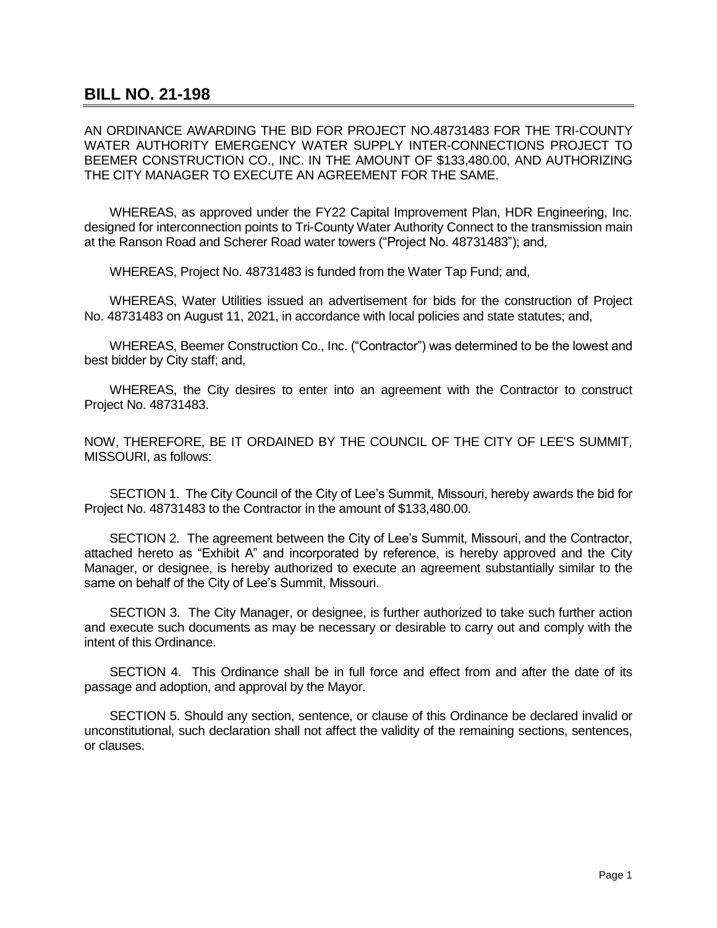## **BILL NO. 21-198**

AN ORDINANCE AWARDING THE BID FOR PROJECT NO.48731483 FOR THE TRI-COUNTY WATER AUTHORITY EMERGENCY WATER SUPPLY INTER-CONNECTIONS PROJECT TO BEEMER CONSTRUCTION CO., INC. IN THE AMOUNT OF \$133,480.00, AND AUTHORIZING THE CITY MANAGER TO EXECUTE AN AGREEMENT FOR THE SAME.

WHEREAS, as approved under the FY22 Capital Improvement Plan, HDR Engineering, Inc. designed for interconnection points to Tri-County Water Authority Connect to the transmission main at the Ranson Road and Scherer Road water towers ("Project No. 48731483"); and,

WHEREAS, Project No. 48731483 is funded from the Water Tap Fund; and,

WHEREAS, Water Utilities issued an advertisement for bids for the construction of Project No. 48731483 on August 11, 2021, in accordance with local policies and state statutes; and,

WHEREAS, Beemer Construction Co., Inc. ("Contractor") was determined to be the lowest and best bidder by City staff; and,

WHEREAS, the City desires to enter into an agreement with the Contractor to construct Project No. 48731483.

NOW, THEREFORE, BE IT ORDAINED BY THE COUNCIL OF THE CITY OF LEE'S SUMMIT, MISSOURI, as follows:

SECTION 1. The City Council of the City of Lee's Summit, Missouri, hereby awards the bid for Project No. 48731483 to the Contractor in the amount of \$133,480.00.

SECTION 2. The agreement between the City of Lee's Summit, Missouri, and the Contractor, attached hereto as "Exhibit A" and incorporated by reference, is hereby approved and the City Manager, or designee, is hereby authorized to execute an agreement substantially similar to the same on behalf of the City of Lee's Summit, Missouri.

SECTION 3. The City Manager, or designee, is further authorized to take such further action and execute such documents as may be necessary or desirable to carry out and comply with the intent of this Ordinance.

SECTION 4. This Ordinance shall be in full force and effect from and after the date of its passage and adoption, and approval by the Mayor.

SECTION 5. Should any section, sentence, or clause of this Ordinance be declared invalid or unconstitutional, such declaration shall not affect the validity of the remaining sections, sentences, or clauses.